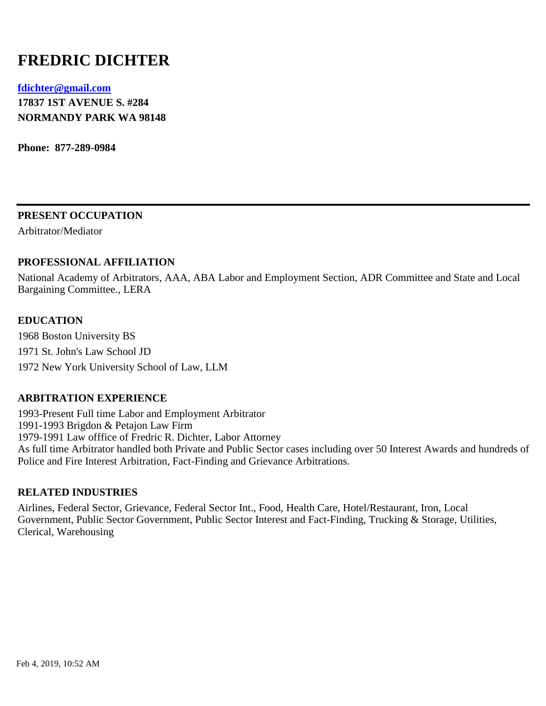# **FREDRIC DICHTER**

## **[fdichter@gmail.com](mailto:fdichter@gmail.com) 17837 1ST AVENUE S. #284 NORMANDY PARK WA 98148**

**Phone: 877-289-0984**

**PRESENT OCCUPATION**

Arbitrator/Mediator

## **PROFESSIONAL AFFILIATION**

National Academy of Arbitrators, AAA, ABA Labor and Employment Section, ADR Committee and State and Local Bargaining Committee., LERA

## **EDUCATION**

1968 Boston University BS 1971 St. John's Law School JD 1972 New York University School of Law, LLM

## **ARBITRATION EXPERIENCE**

1993-Present Full time Labor and Employment Arbitrator 1991-1993 Brigdon & Petajon Law Firm 1979-1991 Law offfice of Fredric R. Dichter, Labor Attorney As full time Arbitrator handled both Private and Public Sector cases including over 50 Interest Awards and hundreds of Police and Fire Interest Arbitration, Fact-Finding and Grievance Arbitrations.

## **RELATED INDUSTRIES**

Airlines, Federal Sector, Grievance, Federal Sector Int., Food, Health Care, Hotel/Restaurant, Iron, Local Government, Public Sector Government, Public Sector Interest and Fact-Finding, Trucking & Storage, Utilities, Clerical, Warehousing